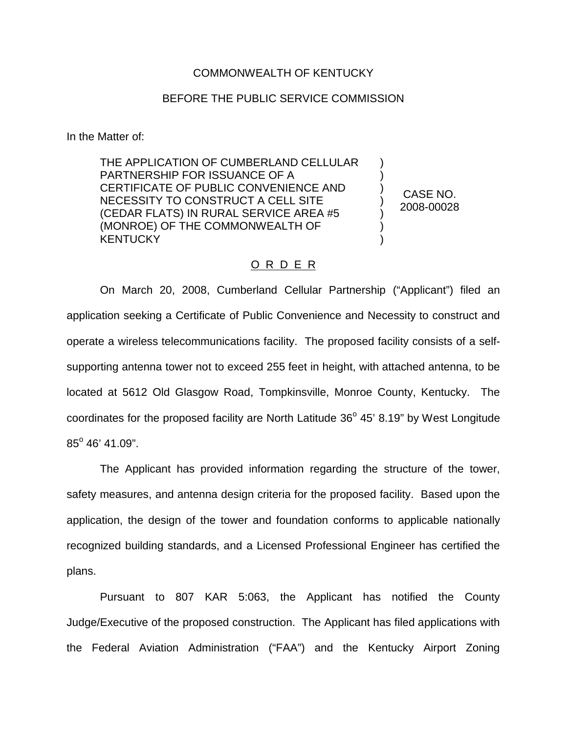## COMMONWEALTH OF KENTUCKY

## BEFORE THE PUBLIC SERVICE COMMISSION

In the Matter of:

THE APPLICATION OF CUMBERLAND CELLULAR PARTNERSHIP FOR ISSUANCE OF A CERTIFICATE OF PUBLIC CONVENIENCE AND NECESSITY TO CONSTRUCT A CELL SITE (CEDAR FLATS) IN RURAL SERVICE AREA #5 (MONROE) OF THE COMMONWEALTH OF **KENTUCKY** 

CASE NO. 2008-00028

) ) ) ) ) ) )

## O R D E R

On March 20, 2008, Cumberland Cellular Partnership ("Applicant") filed an application seeking a Certificate of Public Convenience and Necessity to construct and operate a wireless telecommunications facility. The proposed facility consists of a selfsupporting antenna tower not to exceed 255 feet in height, with attached antenna, to be located at 5612 Old Glasgow Road, Tompkinsville, Monroe County, Kentucky. The coordinates for the proposed facility are North Latitude  $36^{\circ}$  45' 8.19" by West Longitude  $85^{\circ}$  46' 41.09".

The Applicant has provided information regarding the structure of the tower, safety measures, and antenna design criteria for the proposed facility. Based upon the application, the design of the tower and foundation conforms to applicable nationally recognized building standards, and a Licensed Professional Engineer has certified the plans.

Pursuant to 807 KAR 5:063, the Applicant has notified the County Judge/Executive of the proposed construction. The Applicant has filed applications with the Federal Aviation Administration ("FAA") and the Kentucky Airport Zoning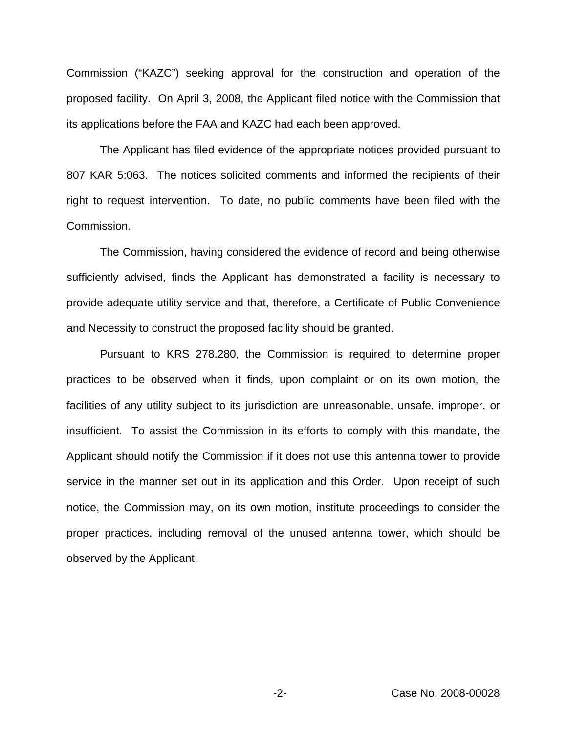Commission ("KAZC") seeking approval for the construction and operation of the proposed facility. On April 3, 2008, the Applicant filed notice with the Commission that its applications before the FAA and KAZC had each been approved.

The Applicant has filed evidence of the appropriate notices provided pursuant to 807 KAR 5:063. The notices solicited comments and informed the recipients of their right to request intervention. To date, no public comments have been filed with the Commission.

The Commission, having considered the evidence of record and being otherwise sufficiently advised, finds the Applicant has demonstrated a facility is necessary to provide adequate utility service and that, therefore, a Certificate of Public Convenience and Necessity to construct the proposed facility should be granted.

Pursuant to KRS 278.280, the Commission is required to determine proper practices to be observed when it finds, upon complaint or on its own motion, the facilities of any utility subject to its jurisdiction are unreasonable, unsafe, improper, or insufficient. To assist the Commission in its efforts to comply with this mandate, the Applicant should notify the Commission if it does not use this antenna tower to provide service in the manner set out in its application and this Order. Upon receipt of such notice, the Commission may, on its own motion, institute proceedings to consider the proper practices, including removal of the unused antenna tower, which should be observed by the Applicant.